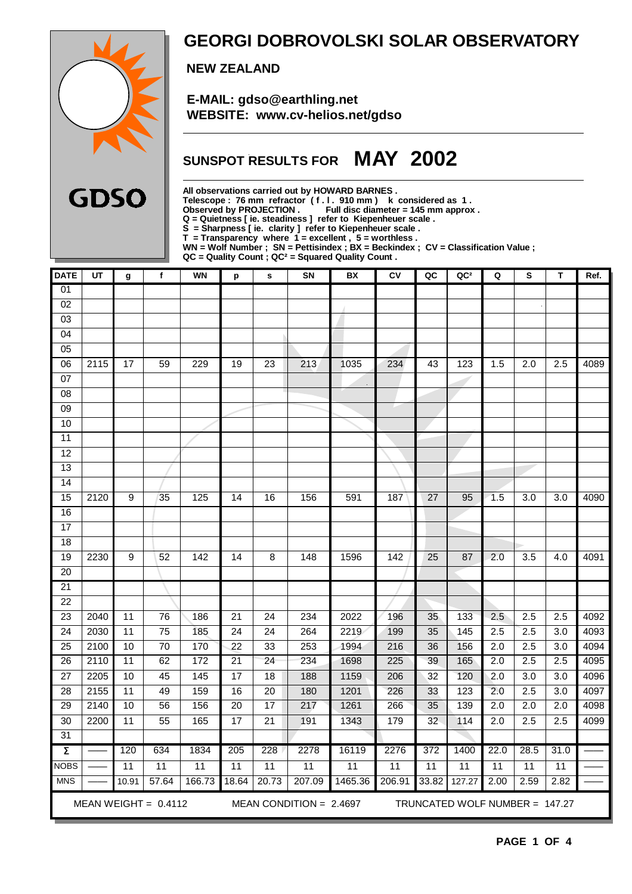

### **GEORGI DOBROVOLSKI SOLAR OBSERVATORY**

 **NEW ZEALAND**

 **E-MAIL: gdso@earthling.net WEBSITE: www.cv-helios.net/gdso**

# **SUNSPOT RESULTS FOR MAY 2002**

**All observations carried out by HOWARD BARNES . Telescope : 76 mm refractor ( f . l . 910 mm ) k considered as 1 .**

**Observed by PROJECTION . Full disc diameter = 145 mm approx .**

**Q = Quietness [ ie. steadiness ] refer to Kiepenheuer scale .**

**S = Sharpness [ ie. clarity ] refer to Kiepenheuer scale .**

**T = Transparency where 1 = excellent , 5 = worthless .**

**WN = Wolf Number ; SN = Pettisindex ; BX = Beckindex ; CV = Classification Value ;**

**QC = Quality Count ; QC² = Squared Quality Count .**

| <b>DATE</b>         | UT                                                                                      | g               | $\mathbf f$     | <b>WN</b>       | p               | s               | SN     | BX      | ${\sf CV}$       | QC              | QC <sup>2</sup> | Q                | S                | т                 | Ref. |
|---------------------|-----------------------------------------------------------------------------------------|-----------------|-----------------|-----------------|-----------------|-----------------|--------|---------|------------------|-----------------|-----------------|------------------|------------------|-------------------|------|
| $\overline{01}$     |                                                                                         |                 |                 |                 |                 |                 |        |         |                  |                 |                 |                  |                  |                   |      |
| $\overline{02}$     |                                                                                         |                 |                 |                 |                 |                 |        |         |                  |                 |                 |                  |                  |                   |      |
| 03                  |                                                                                         |                 |                 |                 |                 |                 |        |         |                  |                 |                 |                  |                  |                   |      |
| 04                  |                                                                                         |                 |                 |                 |                 |                 |        |         |                  |                 |                 |                  |                  |                   |      |
| $\overline{05}$     |                                                                                         |                 |                 |                 |                 |                 |        |         |                  |                 |                 |                  |                  |                   |      |
| 06                  | 2115                                                                                    | 17              | 59              | 229             | 19              | 23              | 213    | 1035    | 234              | 43              | 123             | 1.5              | 2.0              | 2.5               | 4089 |
| 07                  |                                                                                         |                 |                 |                 |                 |                 |        |         |                  |                 |                 |                  |                  |                   |      |
| 08                  |                                                                                         |                 |                 |                 |                 |                 |        |         |                  |                 |                 |                  |                  |                   |      |
| 09                  |                                                                                         |                 |                 |                 |                 |                 |        |         |                  |                 |                 |                  |                  |                   |      |
| 10                  |                                                                                         |                 |                 |                 |                 |                 |        |         |                  |                 |                 |                  |                  |                   |      |
| $\overline{11}$     |                                                                                         |                 |                 |                 |                 |                 |        |         |                  |                 |                 |                  |                  |                   |      |
| 12                  |                                                                                         |                 |                 |                 |                 |                 |        |         |                  |                 |                 |                  |                  |                   |      |
| 13                  |                                                                                         |                 |                 |                 |                 |                 |        |         |                  |                 |                 |                  |                  |                   |      |
| $\overline{14}$     |                                                                                         |                 |                 |                 |                 |                 |        |         |                  |                 |                 |                  |                  |                   |      |
| 15                  | 2120                                                                                    | 9               | 35              | 125             | 14              | 16              | 156    | 591     | 187              | 27              | 95              | 1.5              | 3.0              | 3.0               | 4090 |
| 16                  |                                                                                         |                 |                 |                 |                 |                 |        |         |                  |                 |                 |                  |                  |                   |      |
| $\overline{17}$     |                                                                                         |                 |                 |                 |                 |                 |        |         |                  |                 |                 |                  |                  |                   |      |
| 18                  |                                                                                         |                 |                 |                 |                 |                 |        |         |                  |                 |                 |                  |                  |                   |      |
| 19                  | 2230                                                                                    | 9               | 52              | 142             | 14              | 8               | 148    | 1596    | $\overline{142}$ | 25              | 87              | $\overline{2.0}$ | 3.5              | 4.0               | 4091 |
| $\overline{20}$     |                                                                                         |                 |                 |                 |                 |                 |        |         |                  |                 |                 |                  |                  |                   |      |
| 21                  |                                                                                         |                 |                 |                 |                 |                 |        |         |                  |                 |                 |                  |                  |                   |      |
| $\overline{22}$     |                                                                                         |                 |                 |                 |                 |                 |        |         |                  |                 |                 |                  |                  |                   |      |
| $\overline{23}$     | 2040                                                                                    | 11              | 76              | 186             | 21              | 24              | 234    | 2022    | 196              | 35              | 133             | 2.5              | 2.5              | 2.5               | 4092 |
| 24                  | 2030                                                                                    | 11              | 75              | 185             | 24              | 24              | 264    | 2219    | 199              | 35              | 145             | 2.5              | 2.5              | 3.0               | 4093 |
| $\overline{25}$     | 2100                                                                                    | 10              | $\overline{70}$ | 170             | $\overline{22}$ | $\overline{33}$ | 253    | 1994    | 216              | 36              | 156             | 2.0              | $\overline{2.5}$ | $\overline{3.0}$  | 4094 |
| 26                  | 2110                                                                                    | $\overline{11}$ | 62              | 172             | $\overline{21}$ | $\overline{24}$ | 234    | 1698    | 225              | 39              | 165             | 2.0              | 2.5              | $\overline{2.5}$  | 4095 |
| $\overline{27}$     | 2205                                                                                    | 10              | 45              | 145             | $\overline{17}$ | $\overline{18}$ | 188    | 1159    | 206              | $\overline{32}$ | 120             | 2.0              | $\overline{3.0}$ | $\overline{3.0}$  | 4096 |
| $\overline{28}$     | 2155                                                                                    | $\overline{11}$ | 49              | 159             | 16              | $\overline{20}$ | 180    | 1201    | 226              | 33              | 123             | 2.0              | 2.5              | $\overline{3.0}$  | 4097 |
| 29                  | 2140                                                                                    | 10              | 56              | 156             | 20              | 17              | 217    | 1261    | 266              | 35              | 139             | 2.0              | 2.0              | 2.0               | 4098 |
| 30                  | 2200                                                                                    | $\overline{11}$ | 55              | 165             | $\overline{17}$ | $\overline{21}$ | 191    | 1343    | 179              | 32              | 114             | $\overline{2.0}$ | 2.5              | 2.5               | 4099 |
| 31                  |                                                                                         |                 |                 |                 |                 |                 |        |         |                  |                 |                 |                  |                  |                   |      |
| $\overline{\Sigma}$ |                                                                                         | 120             | 634             | 1834            | 205             | 228             | 2278   | 16119   | 2276             | 372             | 1400            | 22.0             | 28.5             | $\overline{31.0}$ |      |
| <b>NOBS</b>         |                                                                                         | 11              | 11              | $\overline{11}$ | 11              | 11              | 11     | 11      | 11               | 11              | 11              | 11               | 11               | 11                |      |
| <b>MNS</b>          |                                                                                         | 10.91           | 57.64           | 166.73          | 18.64           | 20.73           | 207.09 | 1465.36 | 206.91           | 33.82           | 127.27          | 2.00             | 2.59             | 2.82              |      |
|                     | MEAN WEIGHT = $0.4112$<br>MEAN CONDITION = $2.4697$<br>TRUNCATED WOLF NUMBER = $147.27$ |                 |                 |                 |                 |                 |        |         |                  |                 |                 |                  |                  |                   |      |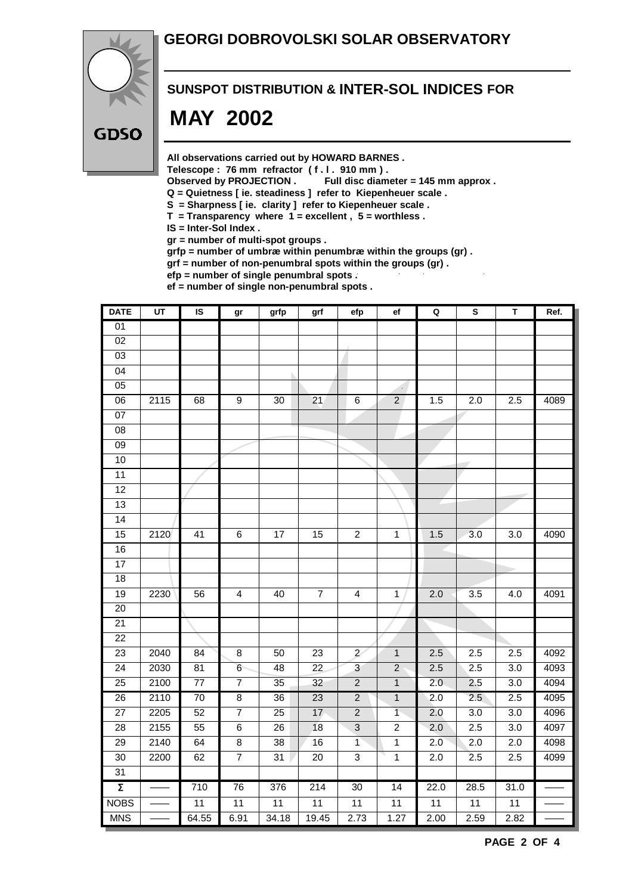### **GEORGI DOBROVOLSKI SOLAR OBSERVATORY**



#### **SUNSPOT DISTRIBUTION & INTER-SOL INDICES FOR**

# **MAY 2002**

**All observations carried out by HOWARD BARNES .**

Telescope : 76 mm refractor (f. l. 910 mm).<br>Observed by PROJECTION . Full disc diam

Full disc diameter = 145 mm approx .

- **Q = Quietness [ ie. steadiness ] refer to Kiepenheuer scale .**
- **S = Sharpness [ ie. clarity ] refer to Kiepenheuer scale .**
- **T = Transparency where 1 = excellent , 5 = worthless .**
- **IS = Inter-Sol Index .**

**gr = number of multi-spot groups .**

**grfp = number of umbræ within penumbræ within the groups (gr) .**

**grf = number of non-penumbral spots within the groups (gr) .**

**efp = number of single penumbral spots .**

**ef = number of single non-penumbral spots .**

| <b>DATE</b>         | UT   | IS              | gr                      | grfp            | grf             | efp                     | ef              | $\mathbf Q$      | ${\bf S}$        | T                | Ref. |
|---------------------|------|-----------------|-------------------------|-----------------|-----------------|-------------------------|-----------------|------------------|------------------|------------------|------|
| 01                  |      |                 |                         |                 |                 |                         |                 |                  |                  |                  |      |
| $\overline{02}$     |      |                 |                         |                 |                 |                         |                 |                  |                  |                  |      |
| 03                  |      |                 |                         |                 |                 |                         |                 |                  |                  |                  |      |
| $\overline{04}$     |      |                 |                         |                 |                 |                         |                 |                  |                  |                  |      |
| $\overline{05}$     |      |                 |                         |                 |                 |                         | z,              |                  |                  |                  |      |
| $\overline{06}$     | 2115 | 68              | $\overline{9}$          | 30              | $\overline{21}$ | $\,6\,$                 | $\overline{2}$  | 1.5              | $\overline{2.0}$ | 2.5              | 4089 |
| 07                  |      |                 |                         |                 |                 |                         |                 |                  |                  |                  |      |
| $\overline{08}$     |      |                 |                         |                 |                 |                         |                 |                  |                  |                  |      |
| 09                  |      |                 |                         |                 |                 |                         |                 |                  |                  |                  |      |
| 10                  |      |                 |                         |                 |                 |                         |                 |                  |                  |                  |      |
| 11                  |      |                 |                         |                 |                 |                         |                 |                  |                  |                  |      |
| 12                  |      |                 |                         |                 |                 |                         |                 |                  |                  |                  |      |
| 13                  |      |                 |                         |                 |                 |                         |                 |                  |                  |                  |      |
| 14                  |      |                 |                         |                 |                 |                         |                 |                  |                  |                  |      |
| 15                  | 2120 | $\overline{41}$ | $\overline{6}$          | 17              | 15              | $\overline{2}$          | $\overline{1}$  | 1.5              | 3.0              | $\overline{3.0}$ | 4090 |
| 16                  |      |                 |                         |                 |                 |                         |                 |                  |                  |                  |      |
| $\overline{17}$     |      |                 |                         |                 |                 |                         |                 |                  |                  |                  |      |
| $\overline{18}$     |      |                 |                         |                 |                 |                         |                 |                  |                  |                  |      |
| 19                  | 2230 | 56              | $\overline{\mathbf{4}}$ | 40              | $\overline{7}$  | $\overline{\mathbf{4}}$ | $\mathbf{1}$    | 2.0              | $\overline{3.5}$ | 4.0              | 4091 |
| 20                  |      |                 |                         |                 |                 |                         |                 |                  |                  |                  |      |
| $\overline{21}$     |      |                 |                         |                 |                 |                         |                 |                  |                  |                  |      |
| 22                  |      |                 |                         |                 |                 |                         |                 |                  |                  |                  |      |
| 23                  | 2040 | $\overline{84}$ | $\bf8$                  | 50              | 23              | $\overline{2}$          | $\mathbf{1}$    | 2.5              | 2.5              | 2.5              | 4092 |
| 24                  | 2030 | 81              | $6\phantom{.}6$         | 48              | 22              | 3                       | $\overline{2}$  | 2.5              | 2.5              | 3.0              | 4093 |
| 25                  | 2100 | 77              | $\boldsymbol{7}$        | 35              | 32              | $\sqrt{2}$              | $\mathbf{1}$    | 2.0              | 2.5              | 3.0              | 4094 |
| $\overline{26}$     | 2110 | $\overline{70}$ | $\overline{8}$          | $\overline{36}$ | $\overline{23}$ | $\overline{2}$          | $\overline{1}$  | $\overline{2.0}$ | 2.5              | 2.5              | 4095 |
| $\overline{27}$     | 2205 | 52              | $\overline{7}$          | $\overline{25}$ | 17              | $\overline{2}$          | $\overline{1}$  | 2.0              | $\overline{3.0}$ | 3.0              | 4096 |
| 28                  | 2155 | 55              | $\overline{6}$          | 26              | 18              | $\overline{3}$          | $\overline{c}$  | $\overline{2.0}$ | 2.5              | $\overline{3.0}$ | 4097 |
| 29                  | 2140 | 64              | 8                       | 38              | 16              | 1                       | $\mathbf{1}$    | 2.0              | $\overline{2.0}$ | 2.0              | 4098 |
| $\overline{30}$     | 2200 | 62              | $\overline{7}$          | $\overline{31}$ | $\overline{20}$ | $\overline{3}$          | $\overline{1}$  | 2.0              | 2.5              | 2.5              | 4099 |
| 31                  |      |                 |                         |                 |                 |                         |                 |                  |                  |                  |      |
| $\overline{\Sigma}$ |      | 710             | 76                      | 376             | 214             | 30                      | 14              | 22.0             | 28.5             | 31.0             |      |
| <b>NOBS</b>         |      | 11              | 11                      | 11              | 11              | 11                      | $\overline{11}$ | 11               | 11               | 11               |      |
| <b>MNS</b>          |      | 64.55           | 6.91                    | 34.18           | 19.45           | 2.73                    | 1.27            | 2.00             | 2.59             | 2.82             |      |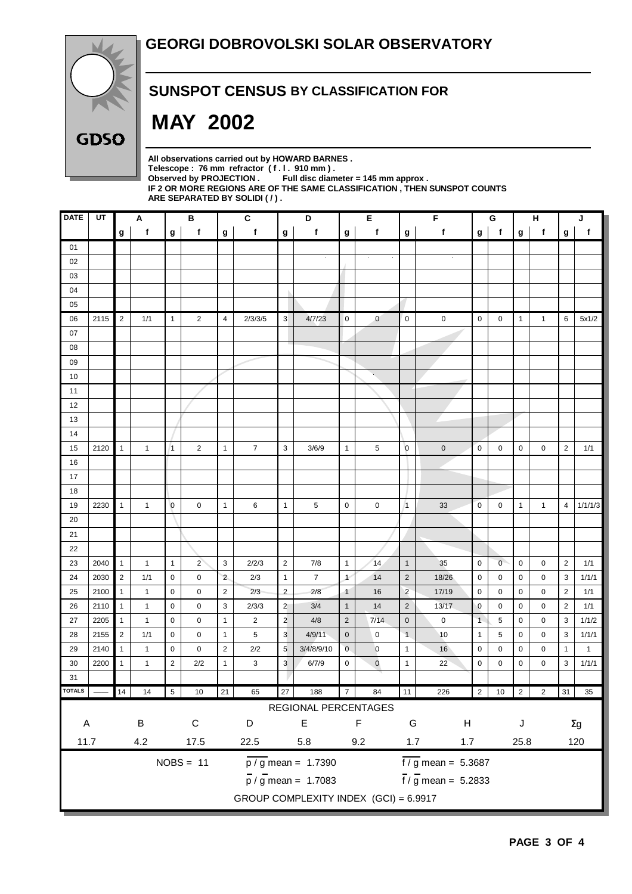

### **SUNSPOT CENSUS BY CLASSIFICATION FOR**

# **MAY 2002**

**All observations carried out by HOWARD BARNES .** Telescope : 76 mm refractor (f. l. 910 mm).<br>Observed by PROJECTION . Full disc diam Full disc diameter = 145 mm approx . **IF 2 OR MORE REGIONS ARE OF THE SAME CLASSIFICATION , THEN SUNSPOT COUNTS ARE SEPARATED BY SOLIDI ( / ) .**

| <b>DATE</b>                                                              | UT   | Α              |                      |                | В              |                  | C              |                | D                                  |                | Е                                          |                                   | F           |              | G              |              | н              |                | J            |  |
|--------------------------------------------------------------------------|------|----------------|----------------------|----------------|----------------|------------------|----------------|----------------|------------------------------------|----------------|--------------------------------------------|-----------------------------------|-------------|--------------|----------------|--------------|----------------|----------------|--------------|--|
|                                                                          |      | g              | f                    | g              | f              | g                | f              | g              | f                                  | g              | f                                          | g                                 | f           | g            | f              | g            | $\mathbf f$    | g              | $\mathsf f$  |  |
| 01                                                                       |      |                |                      |                |                |                  |                |                |                                    |                |                                            |                                   |             |              |                |              |                |                |              |  |
| 02                                                                       |      |                |                      |                |                |                  |                |                |                                    |                |                                            |                                   |             |              |                |              |                |                |              |  |
| 03                                                                       |      |                |                      |                |                |                  |                |                |                                    |                |                                            |                                   |             |              |                |              |                |                |              |  |
| 04                                                                       |      |                |                      |                |                |                  |                |                |                                    |                |                                            |                                   |             |              |                |              |                |                |              |  |
| 05                                                                       |      |                |                      |                |                |                  |                |                |                                    |                |                                            |                                   |             |              |                |              |                |                |              |  |
| 06                                                                       | 2115 | $\overline{2}$ | 1/1                  | $\mathbf{1}$   | $\overline{c}$ | 4                | 2/3/3/5        | 3              | 4/7/23                             | 0              | $\mathbf{0}$                               | $\mathbf 0$                       | $\pmb{0}$   | $\mathbf 0$  | 0              | 1            | $\mathbf{1}$   | 6              | 5x1/2        |  |
| 07                                                                       |      |                |                      |                |                |                  |                |                |                                    |                |                                            |                                   |             |              |                |              |                |                |              |  |
| 08                                                                       |      |                |                      |                |                |                  |                |                |                                    |                |                                            |                                   |             |              |                |              |                |                |              |  |
| 09                                                                       |      |                |                      |                |                |                  |                |                |                                    |                |                                            |                                   |             |              |                |              |                |                |              |  |
| 10                                                                       |      |                |                      |                |                |                  |                |                |                                    |                | ¥.                                         |                                   |             |              |                |              |                |                |              |  |
| 11                                                                       |      |                |                      |                |                |                  |                |                |                                    |                |                                            |                                   |             |              |                |              |                |                |              |  |
| 12                                                                       |      |                |                      |                |                |                  |                |                |                                    |                |                                            |                                   |             |              |                |              |                |                |              |  |
| 13                                                                       |      |                |                      |                |                |                  |                |                |                                    |                |                                            |                                   |             |              |                |              |                |                |              |  |
| 14                                                                       |      |                |                      |                |                |                  |                |                |                                    |                |                                            |                                   |             |              |                |              |                |                |              |  |
| 15                                                                       | 2120 | $\mathbf{1}$   | 1                    | $\vert$ 1      | $\overline{2}$ | $\mathbf{1}$     | $\overline{7}$ | 3              | 3/6/9                              | $\mathbf{1}$   | 5                                          | $\overline{0}$                    | $\mathbf 0$ | $\pmb{0}$    | 0              | 0            | 0              | $\overline{c}$ | 1/1          |  |
| 16                                                                       |      |                |                      |                |                |                  |                |                |                                    |                |                                            |                                   |             |              |                |              |                |                |              |  |
| 17                                                                       |      |                |                      |                |                |                  |                |                |                                    |                |                                            |                                   |             |              |                |              |                |                |              |  |
| 18                                                                       |      |                |                      |                |                |                  |                |                |                                    |                |                                            |                                   |             |              |                |              |                |                |              |  |
| 19                                                                       | 2230 | $\mathbf{1}$   | 1                    | $\overline{0}$ | $\mathbf 0$    | $\mathbf{1}$     | 6              | $\mathbf{1}$   | 5                                  | $\pmb{0}$      | 0                                          | $\vert$ 1                         | 33          | $\pmb{0}$    | $\mathbf 0$    | $\mathbf{1}$ | $\mathbf{1}$   | $\overline{4}$ | 1/1/1/3      |  |
| 20                                                                       |      |                |                      |                |                |                  |                |                |                                    |                |                                            |                                   |             |              |                |              |                |                |              |  |
| 21                                                                       |      |                |                      |                |                |                  |                |                |                                    |                |                                            |                                   |             |              |                |              |                |                |              |  |
| 22                                                                       |      |                |                      |                |                |                  |                |                |                                    |                |                                            |                                   |             |              |                |              |                |                |              |  |
| 23                                                                       | 2040 | $\mathbf{1}$   | $\mathbf{1}$         | $\mathbf{1}$   | $\overline{2}$ | 3                | 2/2/3          | $\overline{2}$ | 7/8                                | $\mathbf{1}$   | 14                                         | $\overline{1}$                    | 35          | $\pmb{0}$    | $\overline{0}$ | 0            | 0              | $\overline{2}$ | 1/1          |  |
| 24                                                                       | 2030 | $\sqrt{2}$     | 1/1                  | 0              | 0              | $\overline{2}$   | 2/3            | $\mathbf{1}$   | 7                                  | $\overline{1}$ | 14                                         | $\overline{2}$                    | 18/26       | $\mathbf 0$  | 0              | 0            | 0              | 3              | 1/1/1        |  |
| 25                                                                       | 2100 | $\mathbf{1}$   | 1                    | $\mathbf 0$    | 0              | $\overline{2}$   | 2/3            | $\overline{2}$ | 2/8                                | $\mathbf{1}$   | 16                                         | $\overline{c}$                    | 17/19       | $\mathbf 0$  | 0              | 0            | 0              | $\overline{2}$ | 1/1          |  |
| 26                                                                       | 2110 | $\mathbf{1}$   | $\mathbf{1}$         | $\mathbf 0$    | 0              | 3                | 2/3/3          | $\overline{2}$ | 3/4                                | $\mathbf{1}$   | 14                                         | $\overline{2}$                    | 13/17       | $\mathbf 0$  | 0              | 0            | 0              | $\overline{2}$ | 1/1          |  |
| 27                                                                       | 2205 | $\mathbf{1}$   | 1                    | $\mathbf 0$    | $\mathbf 0$    | $\mathbf{1}$     | $\overline{2}$ | $\overline{2}$ | 4/8                                | $\overline{2}$ | 7/14                                       | $\mathbf 0$                       | $\mathbf 0$ | $\mathbf{1}$ | 5              | 0            | 0              | 3              | 1/1/2        |  |
| 28                                                                       | 2155 | $\overline{2}$ | 1/1                  | 0              | 0              | $\mathbf{1}$     | 5              | 3              | 4/9/11                             | $\mathbf 0$    | 0                                          | $\overline{1}$                    | 10          | $\mathbf{1}$ | 5              | 0            | 0              | 3              | 1/1/1        |  |
| 29                                                                       | 2140 | 1              | 1                    | 0              | 0              | $\overline{2}$   | 2/2            | 5              | 3/4/8/9/10                         | $\mathbf 0$    | $\mathbf 0$                                | $\overline{1}$                    | 16          | 0            | 0              | 0            | 0              | 1              | $\mathbf{1}$ |  |
| 30                                                                       | 2200 | $\mathbf{1}$   | 1                    | $\overline{2}$ | 2/2            | $\mathbf{1}$     | 3              | 3              | 6/7/9                              | 0              | $\pmb{0}$                                  | $\mathbf{1}$                      | 22          | $\mathbf 0$  | 0              | 0            | 0              | 3              | 1/1/1        |  |
| 31                                                                       |      |                |                      |                |                |                  |                |                |                                    |                |                                            |                                   |             |              |                |              |                |                |              |  |
| <b>TOTALS</b>                                                            |      | 14             | 14                   | 5 <sub>5</sub> | 10             | 21               | 65             | 27             | 188                                | 7              | 84                                         | 11                                | 226         | $2\sqrt{ }$  | $10 \quad 2$   |              | $\overline{a}$ |                | 31 35        |  |
| REGIONAL PERCENTAGES                                                     |      |                |                      |                |                |                  |                |                |                                    |                |                                            |                                   |             |              |                |              |                |                |              |  |
| $\mathsf{A}$                                                             |      |                | $\sf B$<br>${\bf C}$ |                |                | $\mathsf E$<br>D |                |                | $\mathsf F$                        |                | ${\mathsf G}$<br>$\boldsymbol{\mathsf{H}}$ |                                   |             |              | J              |              | $\Sigma g$     |                |              |  |
| 11.7                                                                     |      |                | 4.2<br>17.5          |                |                | 22.5<br>5.8      |                |                |                                    | 9.2            | 1.7                                        |                                   | 1.7         |              | 25.8           |              | 120            |                |              |  |
| $NOBS = 11$<br>$\overline{p}/\overline{g}$ mean = 1.7390                 |      |                |                      |                |                |                  |                |                | $\frac{1}{\sqrt{9}}$ mean = 5.3687 |                |                                            |                                   |             |              |                |              |                |                |              |  |
|                                                                          |      |                |                      |                |                |                  |                |                |                                    |                |                                            | $\frac{1}{\pi}$ / g mean = 5.2833 |             |              |                |              |                |                |              |  |
| $\frac{1}{p}$ / g mean = 1.7083<br>GROUP COMPLEXITY INDEX (GCI) = 6.9917 |      |                |                      |                |                |                  |                |                |                                    |                |                                            |                                   |             |              |                |              |                |                |              |  |
|                                                                          |      |                |                      |                |                |                  |                |                |                                    |                |                                            |                                   |             |              |                |              |                |                |              |  |